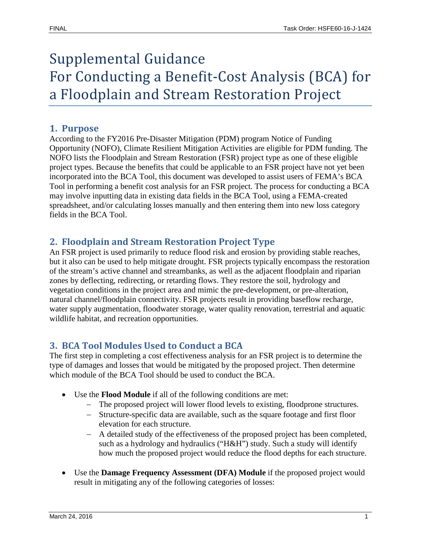# Supplemental Guidance For Conducting a Benefit-Cost Analysis (BCA) for a Floodplain and Stream Restoration Project

#### **1. Purpose**

According to the FY2016 Pre-Disaster Mitigation (PDM) program Notice of Funding Opportunity (NOFO), Climate Resilient Mitigation Activities are eligible for PDM funding. The NOFO lists the Floodplain and Stream Restoration (FSR) project type as one of these eligible project types. Because the benefits that could be applicable to an FSR project have not yet been incorporated into the BCA Tool, this document was developed to assist users of FEMA's BCA Tool in performing a benefit cost analysis for an FSR project. The process for conducting a BCA may involve inputting data in existing data fields in the BCA Tool, using a FEMA-created spreadsheet, and/or calculating losses manually and then entering them into new loss category fields in the BCA Tool.

## **2. Floodplain and Stream Restoration Project Type**

An FSR project is used primarily to reduce flood risk and erosion by providing stable reaches, but it also can be used to help mitigate drought. FSR projects typically encompass the restoration of the stream's active channel and streambanks, as well as the adjacent floodplain and riparian zones by deflecting, redirecting, or retarding flows. They restore the soil, hydrology and vegetation conditions in the project area and mimic the pre-development, or pre-alteration, natural channel/floodplain connectivity. FSR projects result in providing baseflow recharge, water supply augmentation, floodwater storage, water quality renovation, terrestrial and aquatic wildlife habitat, and recreation opportunities.

## **3. BCA Tool Modules Used to Conduct a BCA**

The first step in completing a cost effectiveness analysis for an FSR project is to determine the type of damages and losses that would be mitigated by the proposed project. Then determine which module of the BCA Tool should be used to conduct the BCA.

- Use the **Flood Module** if all of the following conditions are met:
	- − The proposed project will lower flood levels to existing, floodprone structures.
	- − Structure-specific data are available, such as the square footage and first floor elevation for each structure.
	- − A detailed study of the effectiveness of the proposed project has been completed, such as a hydrology and hydraulics ("H&H") study. Such a study will identify how much the proposed project would reduce the flood depths for each structure.
- Use the **Damage Frequency Assessment (DFA) Module** if the proposed project would result in mitigating any of the following categories of losses: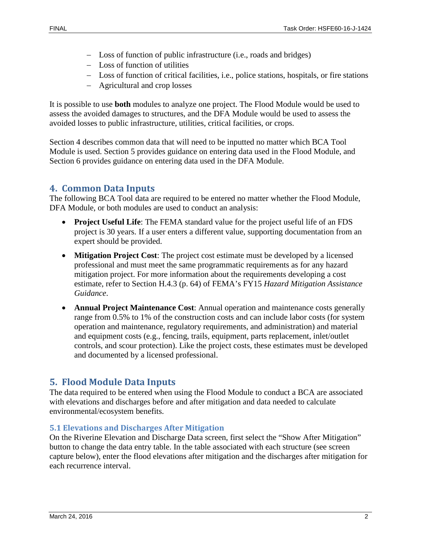- − Loss of function of public infrastructure (i.e., roads and bridges)
- − Loss of function of utilities
- − Loss of function of critical facilities, i.e., police stations, hospitals, or fire stations
- − Agricultural and crop losses

It is possible to use **both** modules to analyze one project. The Flood Module would be used to assess the avoided damages to structures, and the DFA Module would be used to assess the avoided losses to public infrastructure, utilities, critical facilities, or crops.

Section 4 describes common data that will need to be inputted no matter which BCA Tool Module is used. Section 5 provides guidance on entering data used in the Flood Module, and Section 6 provides guidance on entering data used in the DFA Module.

## **4. Common Data Inputs**

The following BCA Tool data are required to be entered no matter whether the Flood Module, DFA Module, or both modules are used to conduct an analysis:

- **Project Useful Life**: The FEMA standard value for the project useful life of an FDS project is 30 years. If a user enters a different value, supporting documentation from an expert should be provided.
- **Mitigation Project Cost**: The project cost estimate must be developed by a licensed professional and must meet the same programmatic requirements as for any hazard mitigation project. For more information about the requirements developing a cost estimate, refer to Section H.4.3 (p. 64) of FEMA's FY15 *Hazard Mitigation Assistance Guidance*.
- **Annual Project Maintenance Cost**: Annual operation and maintenance costs generally range from 0.5% to 1% of the construction costs and can include labor costs (for system operation and maintenance, regulatory requirements, and administration) and material and equipment costs (e.g., fencing, trails, equipment, parts replacement, inlet/outlet controls, and scour protection). Like the project costs, these estimates must be developed and documented by a licensed professional.

## **5. Flood Module Data Inputs**

The data required to be entered when using the Flood Module to conduct a BCA are associated with elevations and discharges before and after mitigation and data needed to calculate environmental/ecosystem benefits.

#### **5.1 Elevations and Discharges After Mitigation**

On the Riverine Elevation and Discharge Data screen, first select the "Show After Mitigation" button to change the data entry table. In the table associated with each structure (see screen capture below), enter the flood elevations after mitigation and the discharges after mitigation for each recurrence interval.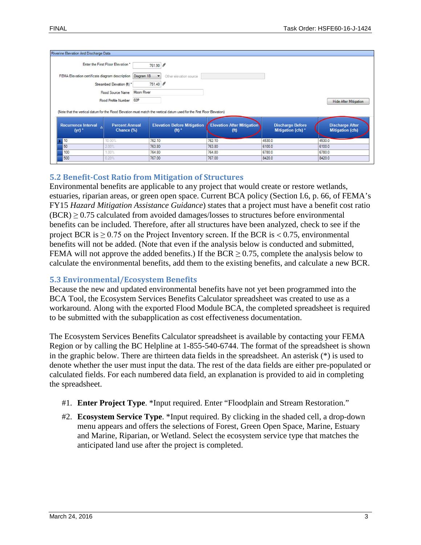|                                                | Enter the First Floor Elevation *   | 761.90 8   |                                                                                                                                                                                    |                                                        |                                              |                                                   |
|------------------------------------------------|-------------------------------------|------------|------------------------------------------------------------------------------------------------------------------------------------------------------------------------------------|--------------------------------------------------------|----------------------------------------------|---------------------------------------------------|
| FEMA Elevation certificate diagram description |                                     | Diagram 1B | Other elevation source                                                                                                                                                             |                                                        |                                              |                                                   |
|                                                | Streambed Elevation (ft) *          | 751.40 8   |                                                                                                                                                                                    |                                                        |                                              |                                                   |
|                                                | Flood Source Name                   | Moon River |                                                                                                                                                                                    |                                                        |                                              |                                                   |
|                                                | <b>Flood Profile Number</b>         | 02P        |                                                                                                                                                                                    |                                                        |                                              | <b>Hide After Mitigation</b>                      |
|                                                |                                     |            |                                                                                                                                                                                    |                                                        |                                              |                                                   |
| (yr)                                           | <b>Percent Annual</b><br>Chance (%) |            | (Note that the vertical datum for the Flood Elevation must match the vertical datum used for the First Floor Elevation)<br><b>Elevation Before Mitigation</b><br>(f <sup>t</sup> ) | <b>Elevation After Mitigation</b><br>(f <sup>t</sup> ) | <b>Discharge Before</b><br>Mitigation (cfs)* | <b>Discharge After</b><br><b>Mitigation (cfs)</b> |
| 10                                             | 10.00%                              | 762.10     |                                                                                                                                                                                    | 762.10                                                 | 4530.0                                       | 4530.0                                            |
| 50                                             | 2.00%                               | 763.80     |                                                                                                                                                                                    | 763.80                                                 | 6100.0                                       | 6100.0                                            |
| <b>Recurrence Interval</b><br>100              | 1.00%                               | 764.80     |                                                                                                                                                                                    | 764.80                                                 | 6780.0                                       | 6780.0                                            |

#### **5.2 Benefit-Cost Ratio from Mitigation of Structures**

Environmental benefits are applicable to any project that would create or restore wetlands, estuaries, riparian areas, or green open space. Current BCA policy (Section I.6, p. 66, of FEMA's FY15 *Hazard Mitigation Assistance Guidance*) states that a project must have a benefit cost ratio  $(BCR) \ge 0.75$  calculated from avoided damages/losses to structures before environmental benefits can be included. Therefore, after all structures have been analyzed, check to see if the project BCR is  $\geq$  0.75 on the Project Inventory screen. If the BCR is < 0.75, environmental benefits will not be added. (Note that even if the analysis below is conducted and submitted, FEMA will not approve the added benefits.) If the BCR  $\geq$  0.75, complete the analysis below to calculate the environmental benefits, add them to the existing benefits, and calculate a new BCR.

#### **5.3 Environmental/Ecosystem Benefits**

Because the new and updated environmental benefits have not yet been programmed into the BCA Tool, the Ecosystem Services Benefits Calculator spreadsheet was created to use as a workaround. Along with the exported Flood Module BCA, the completed spreadsheet is required to be submitted with the subapplication as cost effectiveness documentation.

The Ecosystem Services Benefits Calculator spreadsheet is available by contacting your FEMA Region or by calling the BC Helpline at 1-855-540-6744. The format of the spreadsheet is shown in the graphic below. There are thirteen data fields in the spreadsheet. An asterisk (\*) is used to denote whether the user must input the data. The rest of the data fields are either pre-populated or calculated fields. For each numbered data field, an explanation is provided to aid in completing the spreadsheet.

- #1. **Enter Project Type**. \*Input required. Enter "Floodplain and Stream Restoration."
- #2. **Ecosystem Service Type**. \*Input required. By clicking in the shaded cell, a drop-down menu appears and offers the selections of Forest, Green Open Space, Marine, Estuary and Marine, Riparian, or Wetland. Select the ecosystem service type that matches the anticipated land use after the project is completed.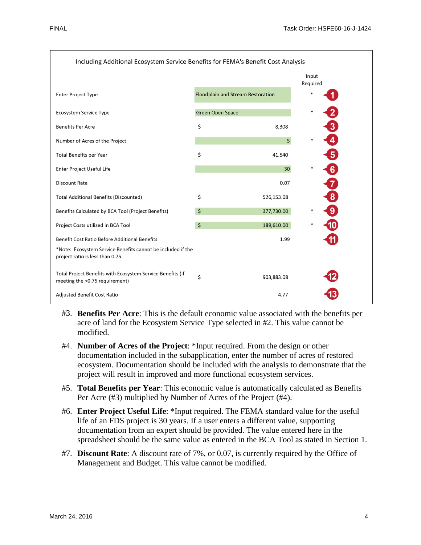

- #3. **Benefits Per Acre**: This is the default economic value associated with the benefits per acre of land for the Ecosystem Service Type selected in #2. This value cannot be modified.
- #4. **Number of Acres of the Project**: \*Input required. From the design or other documentation included in the subapplication, enter the number of acres of restored ecosystem. Documentation should be included with the analysis to demonstrate that the project will result in improved and more functional ecosystem services.
- #5. **Total Benefits per Year**: This economic value is automatically calculated as Benefits Per Acre (#3) multiplied by Number of Acres of the Project (#4).
- #6. **Enter Project Useful Life**: \*Input required. The FEMA standard value for the useful life of an FDS project is 30 years. If a user enters a different value, supporting documentation from an expert should be provided. The value entered here in the spreadsheet should be the same value as entered in the BCA Tool as stated in Section 1.
- #7. **Discount Rate**: A discount rate of 7%, or 0.07, is currently required by the Office of Management and Budget. This value cannot be modified.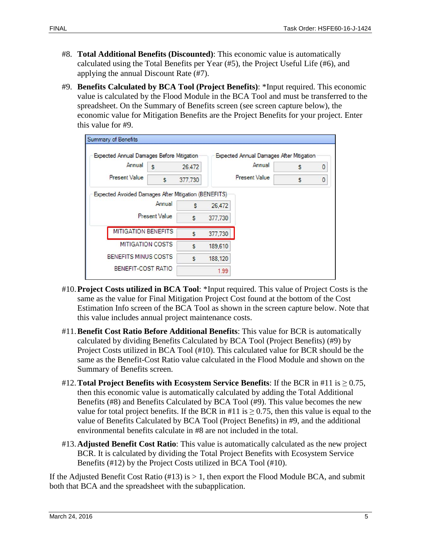- #8. **Total Additional Benefits (Discounted)**: This economic value is automatically calculated using the Total Benefits per Year (#5), the Project Useful Life (#6), and applying the annual Discount Rate (#7).
- #9. **Benefits Calculated by BCA Tool (Project Benefits)**: \*Input required. This economic value is calculated by the Flood Module in the BCA Tool and must be transferred to the spreadsheet. On the Summary of Benefits screen (see screen capture below), the economic value for Mitigation Benefits are the Project Benefits for your project. Enter this value for #9.

| Expected Annual Damages Before Mitigation |                                                               |   |                    | <b>Expected Annual Damages After Mitigation</b> |   |   |  |
|-------------------------------------------|---------------------------------------------------------------|---|--------------------|-------------------------------------------------|---|---|--|
| Annual                                    | Annual<br>s<br>26,472<br><b>Present Value</b><br>s<br>377,730 |   |                    | s                                               | 0 |   |  |
| <b>Present Value</b>                      |                                                               |   |                    |                                                 | S | 0 |  |
|                                           |                                                               | S | 377,730            |                                                 |   |   |  |
| Annual<br><b>Present Value</b>            |                                                               | s | 26,472             |                                                 |   |   |  |
|                                           |                                                               |   |                    |                                                 |   |   |  |
| <b>MITIGATION BENEFITS</b>                |                                                               | s |                    |                                                 |   |   |  |
| <b>MITIGATION COSTS</b>                   |                                                               | s | 377,730<br>189,610 |                                                 |   |   |  |
| BENEFITS MINUS COSTS                      |                                                               | S | 188,120            |                                                 |   |   |  |

- #10.**Project Costs utilized in BCA Tool**: \*Input required. This value of Project Costs is the same as the value for Final Mitigation Project Cost found at the bottom of the Cost Estimation Info screen of the BCA Tool as shown in the screen capture below. Note that this value includes annual project maintenance costs.
- #11.**Benefit Cost Ratio Before Additional Benefits**: This value for BCR is automatically calculated by dividing Benefits Calculated by BCA Tool (Project Benefits) (#9) by Project Costs utilized in BCA Tool (#10). This calculated value for BCR should be the same as the Benefit-Cost Ratio value calculated in the Flood Module and shown on the Summary of Benefits screen.
- #12. **Total Project Benefits with Ecosystem Service Benefits**: If the BCR in #11 is  $\geq 0.75$ , then this economic value is automatically calculated by adding the Total Additional Benefits (#8) and Benefits Calculated by BCA Tool (#9). This value becomes the new value for total project benefits. If the BCR in #11 is  $\geq$  0.75, then this value is equal to the value of Benefits Calculated by BCA Tool (Project Benefits) in #9, and the additional environmental benefits calculate in #8 are not included in the total.
- #13.**Adjusted Benefit Cost Ratio**: This value is automatically calculated as the new project BCR. It is calculated by dividing the Total Project Benefits with Ecosystem Service Benefits (#12) by the Project Costs utilized in BCA Tool (#10).

If the Adjusted Benefit Cost Ratio  $(\#13)$  is  $> 1$ , then export the Flood Module BCA, and submit both that BCA and the spreadsheet with the subapplication.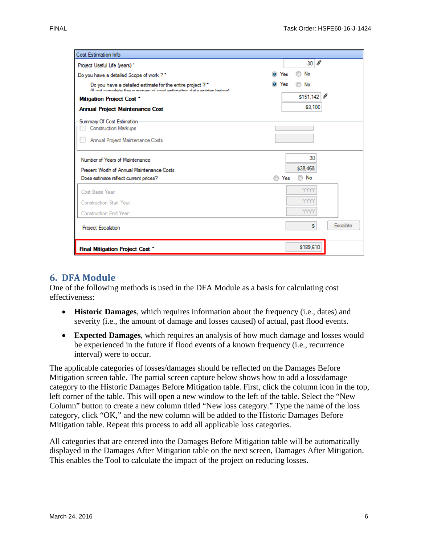| <b>Cost Estimation Info</b>                                                                                                      |                             |
|----------------------------------------------------------------------------------------------------------------------------------|-----------------------------|
| Project Useful Life (years) *                                                                                                    | 9<br>30                     |
| Do you have a detailed Scope of work ? *                                                                                         | No<br>$\circledcirc$<br>Yes |
| Do you have a detailed estimate for the entire project ?*<br>(If not complete the cummany of cost estimation data entries helow) | Yes<br>No                   |
| <b>Mitigation Project Cost *</b>                                                                                                 | \$151,142<br>y              |
| <b>Annual Project Maintenance Cost</b>                                                                                           | \$3,100                     |
| <b>Summary Of Cost Estimation</b><br><b>Construction Markups</b><br>Annual Project Maintenance Costs                             |                             |
| Number of Years of Maintenance                                                                                                   | 30                          |
| Present Worth of Annual Maintenance Costs                                                                                        | \$38,468                    |
| Does estimate reflect current prices?                                                                                            | ◯ No<br>Yes                 |
| Cost Basis Year:                                                                                                                 | <b>YYYY</b>                 |
| Construction Start Year:                                                                                                         | YYYY                        |
| <b>Construction End Year:</b>                                                                                                    | <b>YYYY</b>                 |
| <b>Project Escalation</b>                                                                                                        | Escalate<br>s               |
| Final Mitigation Project Cost *                                                                                                  | \$189,610                   |

#### **6. DFA Module**

One of the following methods is used in the DFA Module as a basis for calculating cost effectiveness:

- **Historic Damages**, which requires information about the frequency (i.e., dates) and severity (i.e., the amount of damage and losses caused) of actual, past flood events.
- **Expected Damages**, which requires an analysis of how much damage and losses would be experienced in the future if flood events of a known frequency (i.e., recurrence interval) were to occur.

The applicable categories of losses/damages should be reflected on the Damages Before Mitigation screen table. The partial screen capture below shows how to add a loss/damage category to the Historic Damages Before Mitigation table. First, click the column icon in the top, left corner of the table. This will open a new window to the left of the table. Select the "New Column" button to create a new column titled "New loss category." Type the name of the loss category, click "OK," and the new column will be added to the Historic Damages Before Mitigation table. Repeat this process to add all applicable loss categories.

All categories that are entered into the Damages Before Mitigation table will be automatically displayed in the Damages After Mitigation table on the next screen, Damages After Mitigation. This enables the Tool to calculate the impact of the project on reducing losses.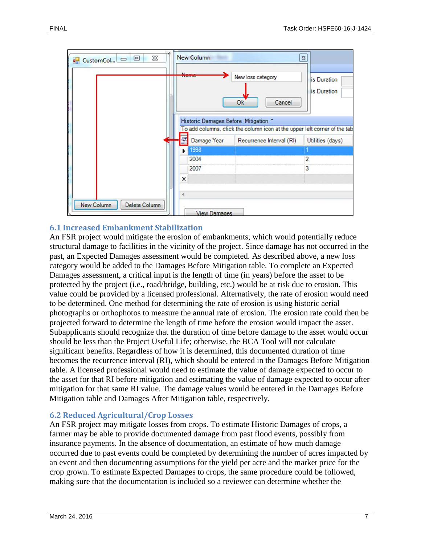

#### **6.1 Increased Embankment Stabilization**

An FSR project would mitigate the erosion of embankments, which would potentially reduce structural damage to facilities in the vicinity of the project. Since damage has not occurred in the past, an Expected Damages assessment would be completed. As described above, a new loss category would be added to the Damages Before Mitigation table. To complete an Expected Damages assessment, a critical input is the length of time (in years) before the asset to be protected by the project (i.e., road/bridge, building, etc.) would be at risk due to erosion. This value could be provided by a licensed professional. Alternatively, the rate of erosion would need to be determined. One method for determining the rate of erosion is using historic aerial photographs or orthophotos to measure the annual rate of erosion. The erosion rate could then be projected forward to determine the length of time before the erosion would impact the asset. Subapplicants should recognize that the duration of time before damage to the asset would occur should be less than the Project Useful Life; otherwise, the BCA Tool will not calculate significant benefits. Regardless of how it is determined, this documented duration of time becomes the recurrence interval (RI), which should be entered in the Damages Before Mitigation table. A licensed professional would need to estimate the value of damage expected to occur to the asset for that RI before mitigation and estimating the value of damage expected to occur after mitigation for that same RI value. The damage values would be entered in the Damages Before Mitigation table and Damages After Mitigation table, respectively.

#### **6.2 Reduced Agricultural/Crop Losses**

An FSR project may mitigate losses from crops. To estimate Historic Damages of crops, a farmer may be able to provide documented damage from past flood events, possibly from insurance payments. In the absence of documentation, an estimate of how much damage occurred due to past events could be completed by determining the number of acres impacted by an event and then documenting assumptions for the yield per acre and the market price for the crop grown. To estimate Expected Damages to crops, the same procedure could be followed, making sure that the documentation is included so a reviewer can determine whether the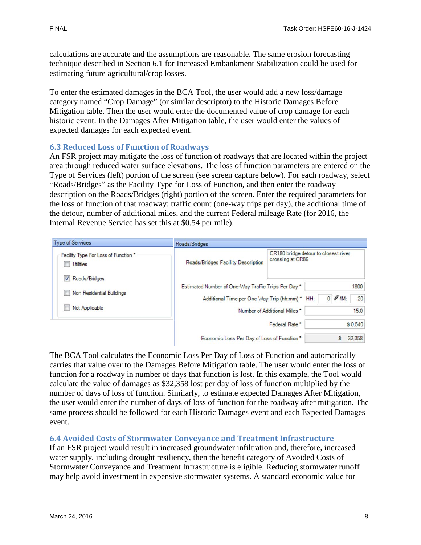calculations are accurate and the assumptions are reasonable. The same erosion forecasting technique described in Section 6.1 for Increased Embankment Stabilization could be used for estimating future agricultural/crop losses.

To enter the estimated damages in the BCA Tool, the user would add a new loss/damage category named "Crop Damage" (or similar descriptor) to the Historic Damages Before Mitigation table. Then the user would enter the documented value of crop damage for each historic event. In the Damages After Mitigation table, the user would enter the values of expected damages for each expected event.

#### **6.3 Reduced Loss of Function of Roadways**

An FSR project may mitigate the loss of function of roadways that are located within the project area through reduced water surface elevations. The loss of function parameters are entered on the Type of Services (left) portion of the screen (see screen capture below). For each roadway, select "Roads/Bridges" as the Facility Type for Loss of Function, and then enter the roadway description on the Roads/Bridges (right) portion of the screen. Enter the required parameters for the loss of function of that roadway: traffic count (one-way trips per day), the additional time of the detour, number of additional miles, and the current Federal mileage Rate (for 2016, the Internal Revenue Service has set this at \$0.54 per mile).

| Type of Services                                               | Roads/Bridges                                                                                        |                                                                                         |  |  |
|----------------------------------------------------------------|------------------------------------------------------------------------------------------------------|-----------------------------------------------------------------------------------------|--|--|
| Facility Type For Loss of Function *<br><b>Utilities</b>       | Roads/Bridges Facility Description                                                                   | CR180 bridge detour to closest river<br>crossing at CR86                                |  |  |
| V Roads/Bridges<br>Non Residential Buildings<br>Not Applicable | Estimated Number of One-Way Traffic Trips Per Day*<br>Additional Time per One-Way Trip (hh:mm) * HH: | 1800<br>$\mathscr{I}$ 1M:<br>$\mathbf{0}$<br>20<br>Number of Additional Miles *<br>15.0 |  |  |
|                                                                |                                                                                                      | \$0.540<br>Federal Rate*                                                                |  |  |
|                                                                | Economic Loss Per Day of Loss of Function *                                                          | 32,358                                                                                  |  |  |

The BCA Tool calculates the Economic Loss Per Day of Loss of Function and automatically carries that value over to the Damages Before Mitigation table. The user would enter the loss of function for a roadway in number of days that function is lost. In this example, the Tool would calculate the value of damages as \$32,358 lost per day of loss of function multiplied by the number of days of loss of function. Similarly, to estimate expected Damages After Mitigation, the user would enter the number of days of loss of function for the roadway after mitigation. The same process should be followed for each Historic Damages event and each Expected Damages event.

#### **6.4 Avoided Costs of Stormwater Conveyance and Treatment Infrastructure**

If an FSR project would result in increased groundwater infiltration and, therefore, increased water supply, including drought resiliency, then the benefit category of Avoided Costs of Stormwater Conveyance and Treatment Infrastructure is eligible. Reducing stormwater runoff may help avoid investment in expensive stormwater systems. A standard economic value for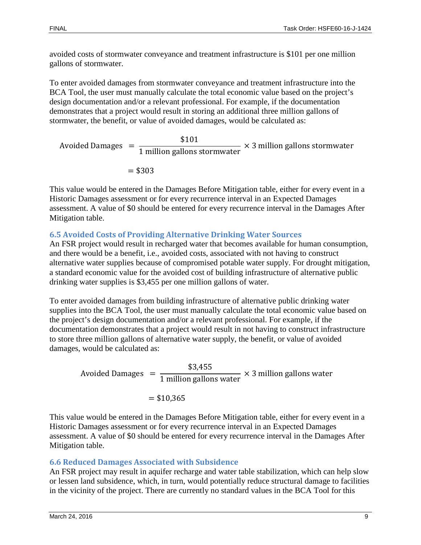avoided costs of stormwater conveyance and treatment infrastructure is \$101 per one million gallons of stormwater.

To enter avoided damages from stormwater conveyance and treatment infrastructure into the BCA Tool, the user must manually calculate the total economic value based on the project's design documentation and/or a relevant professional. For example, if the documentation demonstrates that a project would result in storing an additional three million gallons of stormwater, the benefit, or value of avoided damages, would be calculated as:

Avoided Damages  $=$ \$101 1 million gallons stormwater × 3 million gallons stormwater  $= $303$ 

This value would be entered in the Damages Before Mitigation table, either for every event in a Historic Damages assessment or for every recurrence interval in an Expected Damages assessment. A value of \$0 should be entered for every recurrence interval in the Damages After Mitigation table.

## **6.5 Avoided Costs of Providing Alternative Drinking Water Sources**

An FSR project would result in recharged water that becomes available for human consumption, and there would be a benefit, i.e., avoided costs, associated with not having to construct alternative water supplies because of compromised potable water supply. For drought mitigation, a standard economic value for the avoided cost of building infrastructure of alternative public drinking water supplies is \$3,455 per one million gallons of water.

To enter avoided damages from building infrastructure of alternative public drinking water supplies into the BCA Tool, the user must manually calculate the total economic value based on the project's design documentation and/or a relevant professional. For example, if the documentation demonstrates that a project would result in not having to construct infrastructure to store three million gallons of alternative water supply, the benefit, or value of avoided damages, would be calculated as:

Avoided Damages  $=$ \$3,455 1 million gallons water × 3 million gallons water  $=$  \$10.365

This value would be entered in the Damages Before Mitigation table, either for every event in a Historic Damages assessment or for every recurrence interval in an Expected Damages assessment. A value of \$0 should be entered for every recurrence interval in the Damages After Mitigation table.

### **6.6 Reduced Damages Associated with Subsidence**

An FSR project may result in aquifer recharge and water table stabilization, which can help slow or lessen land subsidence, which, in turn, would potentially reduce structural damage to facilities in the vicinity of the project. There are currently no standard values in the BCA Tool for this